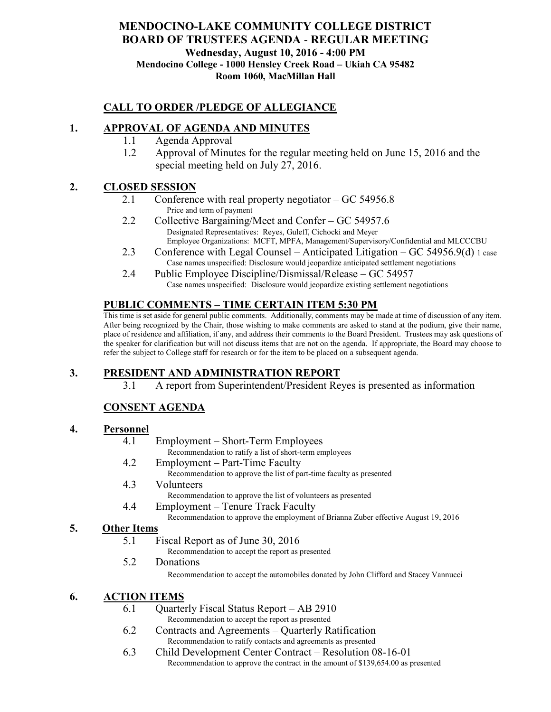# **MENDOCINO-LAKE COMMUNITY COLLEGE DISTRICT BOARD OF TRUSTEES AGENDA** - **REGULAR MEETING Wednesday, August 10, 2016 - 4:00 PM Mendocino College - 1000 Hensley Creek Road – Ukiah CA 95482 Room 1060, MacMillan Hall**

## **CALL TO ORDER /PLEDGE OF ALLEGIANCE**

## **1. APPROVAL OF AGENDA AND MINUTES**

- 1.1 Agenda Approval
- 1.2 Approval of Minutes for the regular meeting held on June 15, 2016 and the special meeting held on July 27, 2016.

## **2. CLOSED SESSION**

- 2.1 Conference with real property negotiator GC 54956.8 Price and term of payment
- 2.2 Collective Bargaining/Meet and Confer GC 54957.6 Designated Representatives: Reyes, Guleff, Cichocki and Meyer Employee Organizations: MCFT, MPFA, Management/Supervisory/Confidential and MLCCCBU
- 2.3 Conference with Legal Counsel Anticipated Litigation GC 54956.9(d) 1 case Case names unspecified: Disclosure would jeopardize anticipated settlement negotiations
- 2.4 Public Employee Discipline/Dismissal/Release GC 54957 Case names unspecified: Disclosure would jeopardize existing settlement negotiations

## **PUBLIC COMMENTS – TIME CERTAIN ITEM 5:30 PM**

This time is set aside for general public comments. Additionally, comments may be made at time of discussion of any item. After being recognized by the Chair, those wishing to make comments are asked to stand at the podium, give their name, place of residence and affiliation, if any, and address their comments to the Board President. Trustees may ask questions of the speaker for clarification but will not discuss items that are not on the agenda. If appropriate, the Board may choose to refer the subject to College staff for research or for the item to be placed on a subsequent agenda.

# **3. PRESIDENT AND ADMINISTRATION REPORT**

3.1 A report from Superintendent/President Reyes is presented as information

# **CONSENT AGENDA**

#### **4. Personnel**

- 4.1 Employment Short-Term Employees Recommendation to ratify a list of short-term employees
- 4.2 Employment Part-Time Faculty
	- Recommendation to approve the list of part-time faculty as presented
- 4.3 Volunteers

Recommendation to approve the list of volunteers as presented

4.4 Employment – Tenure Track Faculty

Recommendation to approve the employment of Brianna Zuber effective August 19, 2016

#### **5. Other Items**

5.1 Fiscal Report as of June 30, 2016

Recommendation to accept the report as presented

5.2 Donations

Recommendation to accept the automobiles donated by John Clifford and Stacey Vannucci

# **6. ACTION ITEMS**

- 6.1 Quarterly Fiscal Status Report AB 2910 Recommendation to accept the report as presented
- 6.2 Contracts and Agreements Quarterly Ratification Recommendation to ratify contacts and agreements as presented
- 6.3 Child Development Center Contract Resolution 08-16-01 Recommendation to approve the contract in the amount of \$139,654.00 as presented